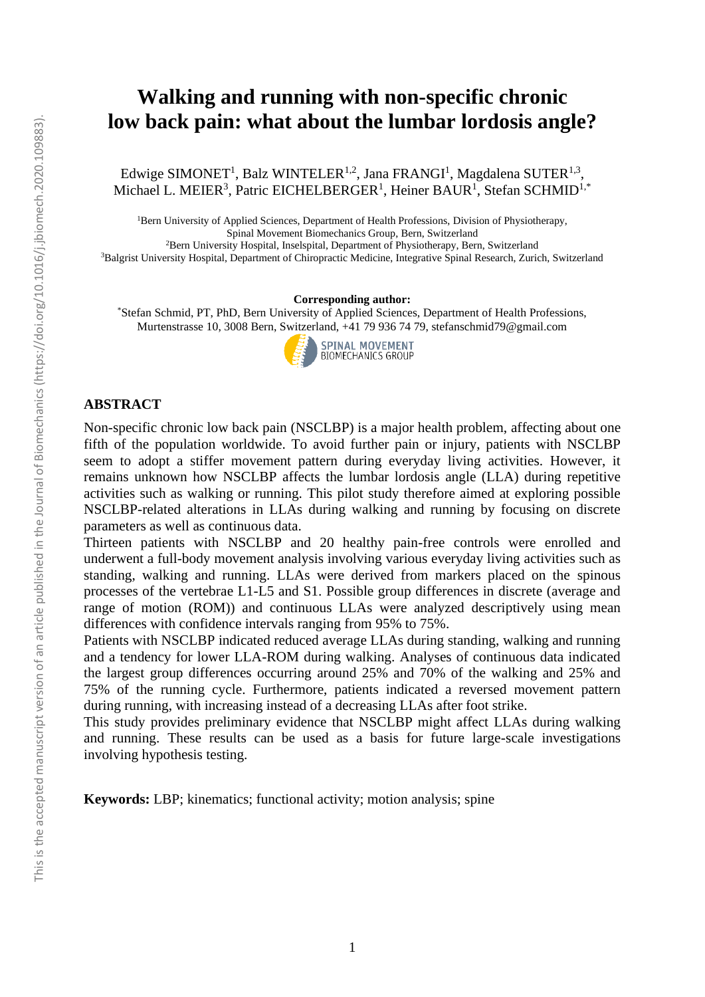# **Walking and running with non-specific chronic low back pain: what about the lumbar lordosis angle?**

Edwige SIMONET<sup>1</sup>, Balz WINTELER<sup>1,2</sup>, Jana FRANGI<sup>1</sup>, Magdalena SUTER<sup>1,3</sup>, Michael L. MEIER<sup>3</sup>, Patric EICHELBERGER<sup>1</sup>, Heiner BAUR<sup>1</sup>, Stefan SCHMID<sup>1,\*</sup>

<sup>1</sup>Bern University of Applied Sciences, Department of Health Professions, Division of Physiotherapy, Spinal Movement Biomechanics Group, Bern, Switzerland

<sup>2</sup>Bern University Hospital, Inselspital, Department of Physiotherapy, Bern, Switzerland <sup>3</sup>Balgrist University Hospital, Department of Chiropractic Medicine, Integrative Spinal Research, Zurich, Switzerland

#### **Corresponding author:**

\*Stefan Schmid, PT, PhD, Bern University of Applied Sciences, Department of Health Professions, Murtenstrasse 10, 3008 Bern, Switzerland, +41 79 936 74 79, stefanschmid79@gmail.com



# **ABSTRACT**

Non-specific chronic low back pain (NSCLBP) is a major health problem, affecting about one fifth of the population worldwide. To avoid further pain or injury, patients with NSCLBP seem to adopt a stiffer movement pattern during everyday living activities. However, it remains unknown how NSCLBP affects the lumbar lordosis angle (LLA) during repetitive activities such as walking or running. This pilot study therefore aimed at exploring possible NSCLBP-related alterations in LLAs during walking and running by focusing on discrete parameters as well as continuous data.

Thirteen patients with NSCLBP and 20 healthy pain-free controls were enrolled and underwent a full-body movement analysis involving various everyday living activities such as standing, walking and running. LLAs were derived from markers placed on the spinous processes of the vertebrae L1-L5 and S1. Possible group differences in discrete (average and range of motion (ROM)) and continuous LLAs were analyzed descriptively using mean differences with confidence intervals ranging from 95% to 75%.

Patients with NSCLBP indicated reduced average LLAs during standing, walking and running and a tendency for lower LLA-ROM during walking. Analyses of continuous data indicated the largest group differences occurring around 25% and 70% of the walking and 25% and 75% of the running cycle. Furthermore, patients indicated a reversed movement pattern during running, with increasing instead of a decreasing LLAs after foot strike.

This study provides preliminary evidence that NSCLBP might affect LLAs during walking and running. These results can be used as a basis for future large-scale investigations involving hypothesis testing.

**Keywords:** LBP; kinematics; functional activity; motion analysis; spine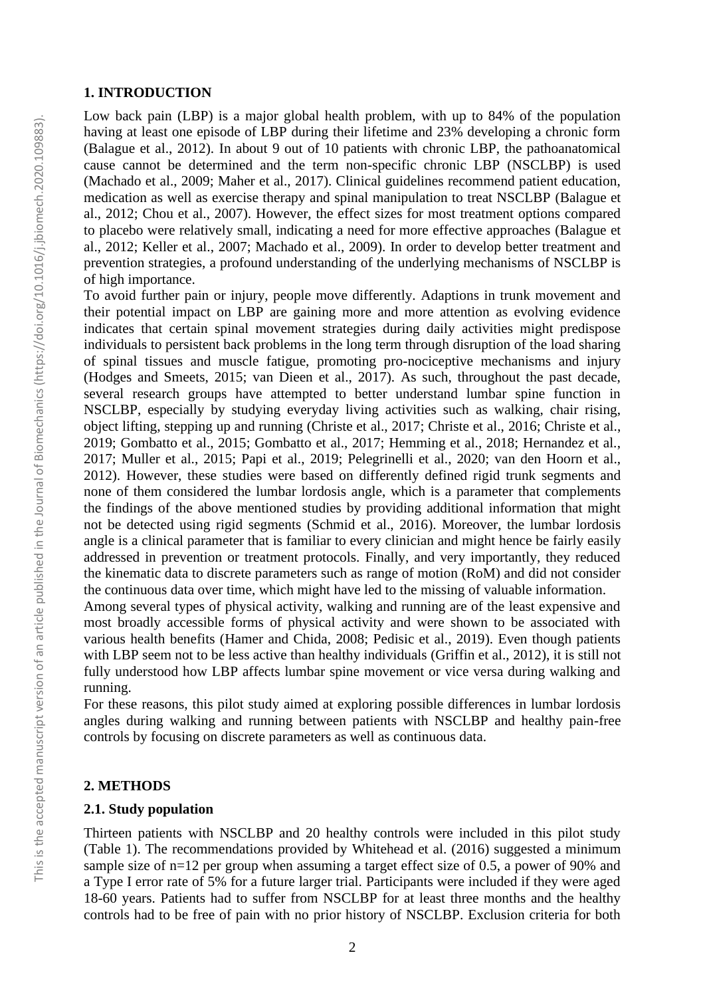#### **1. INTRODUCTION**

Low back pain (LBP) is a major global health problem, with up to 84% of the population having at least one episode of LBP during their lifetime and 23% developing a chronic form [\(Balague et al., 2012\)](#page-6-0). In about 9 out of 10 patients with chronic LBP, the pathoanatomical cause cannot be determined and the term non-specific chronic LBP (NSCLBP) is used [\(Machado et al., 2009;](#page-6-1) [Maher et al., 2017\)](#page-6-2). Clinical guidelines recommend patient education, medication as well as exercise therapy and spinal manipulation to treat NSCLBP [\(Balague et](#page-6-0)  [al., 2012;](#page-6-0) [Chou et al., 2007\)](#page-6-3). However, the effect sizes for most treatment options compared to placebo were relatively small, indicating a need for more effective approaches [\(Balague et](#page-6-0)  [al., 2012;](#page-6-0) [Keller et al., 2007;](#page-6-4) [Machado et al., 2009\)](#page-6-1). In order to develop better treatment and prevention strategies, a profound understanding of the underlying mechanisms of NSCLBP is of high importance.

To avoid further pain or injury, people move differently. Adaptions in trunk movement and their potential impact on LBP are gaining more and more attention as evolving evidence indicates that certain spinal movement strategies during daily activities might predispose individuals to persistent back problems in the long term through disruption of the load sharing of spinal tissues and muscle fatigue, promoting pro-nociceptive mechanisms and injury [\(Hodges and Smeets, 2015;](#page-6-5) [van Dieen et al., 2017\)](#page-7-0). As such, throughout the past decade, several research groups have attempted to better understand lumbar spine function in NSCLBP, especially by studying everyday living activities such as walking, chair rising, object lifting, stepping up and running [\(Christe et al., 2017;](#page-6-6) [Christe et al., 2016;](#page-6-7) [Christe et al.,](#page-6-8)  [2019;](#page-6-8) [Gombatto et al., 2015;](#page-6-9) [Gombatto et al., 2017;](#page-6-10) [Hemming et al., 2018;](#page-6-11) [Hernandez et al.,](#page-6-12)  [2017;](#page-6-12) [Muller et al., 2015;](#page-7-1) [Papi et al., 2019;](#page-7-2) [Pelegrinelli et al., 2020;](#page-7-3) [van den Hoorn et al.,](#page-7-4)  [2012\)](#page-7-4). However, these studies were based on differently defined rigid trunk segments and none of them considered the lumbar lordosis angle, which is a parameter that complements the findings of the above mentioned studies by providing additional information that might not be detected using rigid segments [\(Schmid et al., 2016\)](#page-7-5). Moreover, the lumbar lordosis angle is a clinical parameter that is familiar to every clinician and might hence be fairly easily addressed in prevention or treatment protocols. Finally, and very importantly, they reduced the kinematic data to discrete parameters such as range of motion (RoM) and did not consider the continuous data over time, which might have led to the missing of valuable information.

Among several types of physical activity, walking and running are of the least expensive and most broadly accessible forms of physical activity and were shown to be associated with various health benefits [\(Hamer and Chida, 2008;](#page-6-13) [Pedisic et al., 2019\)](#page-7-6). Even though patients with LBP seem not to be less active than healthy individuals [\(Griffin et al., 2012\)](#page-6-14), it is still not fully understood how LBP affects lumbar spine movement or vice versa during walking and running.

For these reasons, this pilot study aimed at exploring possible differences in lumbar lordosis angles during walking and running between patients with NSCLBP and healthy pain-free controls by focusing on discrete parameters as well as continuous data.

### **2. METHODS**

# **2.1. Study population**

Thirteen patients with NSCLBP and 20 healthy controls were included in this pilot study (Table 1). The recommendations provided by Whitehead et al. (2016) suggested a minimum sample size of n=12 per group when assuming a target effect size of 0.5, a power of 90% and a Type I error rate of 5% for a future larger trial. Participants were included if they were aged 18-60 years. Patients had to suffer from NSCLBP for at least three months and the healthy controls had to be free of pain with no prior history of NSCLBP. Exclusion criteria for both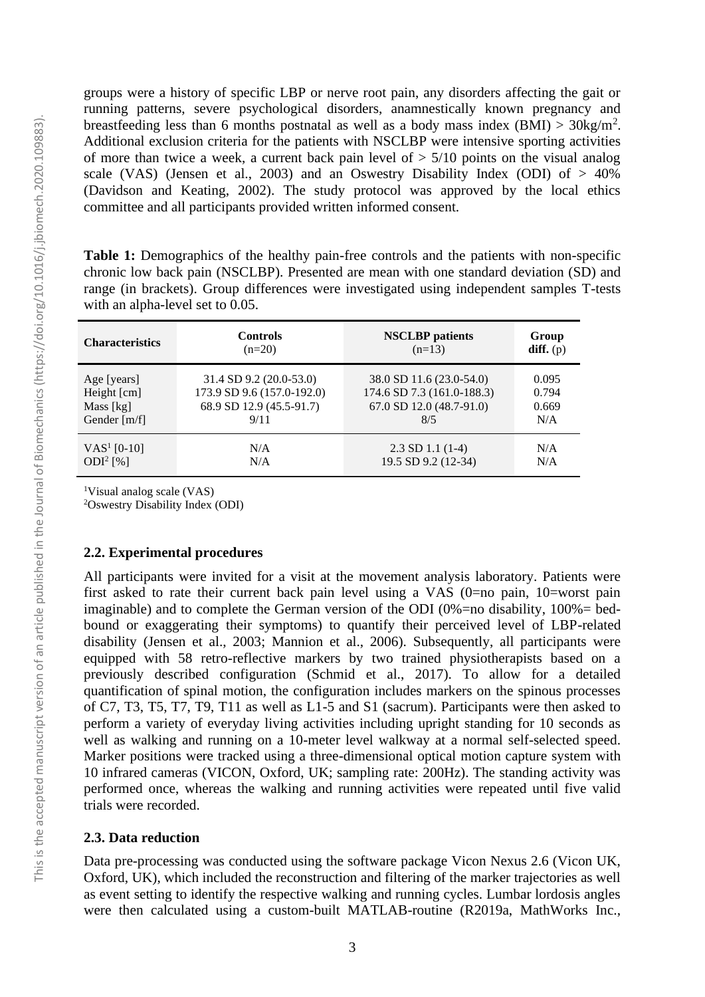groups were a history of specific LBP or nerve root pain, any disorders affecting the gait or running patterns, severe psychological disorders, anamnestically known pregnancy and breastfeeding less than 6 months postnatal as well as a body mass index  $(BMI) > 30 \text{kg/m}^2$ . Additional exclusion criteria for the patients with NSCLBP were intensive sporting activities of more than twice a week, a current back pain level of  $> 5/10$  points on the visual analog scale (VAS) (Jensen et al., 2003) and an Oswestry Disability Index (ODI) of  $> 40\%$ (Davidson and Keating, 2002). The study protocol was approved by the local ethics committee and all participants provided written informed consent.

**Table 1:** Demographics of the healthy pain-free controls and the patients with non-specific chronic low back pain (NSCLBP). Presented are mean with one standard deviation (SD) and range (in brackets). Group differences were investigated using independent samples T-tests with an alpha-level set to 0.05.

| <b>Characteristics</b>  | <b>Controls</b>            | <b>NSCLBP</b> patients     | Group       |
|-------------------------|----------------------------|----------------------------|-------------|
|                         | $(n=20)$                   | $(n=13)$                   | $diff.$ (p) |
| Age [years]             | 31.4 SD 9.2 (20.0-53.0)    | 38.0 SD 11.6 (23.0-54.0)   | 0.095       |
| Height [cm]             | 173.9 SD 9.6 (157.0-192.0) | 174.6 SD 7.3 (161.0-188.3) | 0.794       |
| Mass [kg]               | 68.9 SD 12.9 (45.5-91.7)   | 67.0 SD 12.0 (48.7-91.0)   | 0.669       |
| Gender $[m/f]$          | 9/11                       | 8/5                        | N/A         |
| VAS <sup>1</sup> [0-10] | N/A                        | $2.3$ SD 1.1 (1-4)         | N/A         |
| ODI <sup>2</sup> [%]    | N/A                        | 19.5 SD 9.2 (12-34)        | N/A         |

<sup>1</sup>Visual analog scale (VAS)

<sup>2</sup>Oswestry Disability Index (ODI)

#### **2.2. Experimental procedures**

All participants were invited for a visit at the movement analysis laboratory. Patients were first asked to rate their current back pain level using a VAS (0=no pain, 10=worst pain imaginable) and to complete the German version of the ODI  $(0\% =$ no disability,  $100\% =$ bedbound or exaggerating their symptoms) to quantify their perceived level of LBP-related disability [\(Jensen et al., 2003;](#page-6-15) [Mannion et al., 2006\)](#page-6-16). Subsequently, all participants were equipped with 58 retro-reflective markers by two trained physiotherapists based on a previously described configuration [\(Schmid et al., 2017\)](#page-7-7). To allow for a detailed quantification of spinal motion, the configuration includes markers on the spinous processes of C7, T3, T5, T7, T9, T11 as well as L1-5 and S1 (sacrum). Participants were then asked to perform a variety of everyday living activities including upright standing for 10 seconds as well as walking and running on a 10-meter level walkway at a normal self-selected speed. Marker positions were tracked using a three-dimensional optical motion capture system with 10 infrared cameras (VICON, Oxford, UK; sampling rate: 200Hz). The standing activity was performed once, whereas the walking and running activities were repeated until five valid trials were recorded.

#### **2.3. Data reduction**

Data pre-processing was conducted using the software package Vicon Nexus 2.6 (Vicon UK, Oxford, UK), which included the reconstruction and filtering of the marker trajectories as well as event setting to identify the respective walking and running cycles. Lumbar lordosis angles were then calculated using a custom-built MATLAB-routine (R2019a, MathWorks Inc.,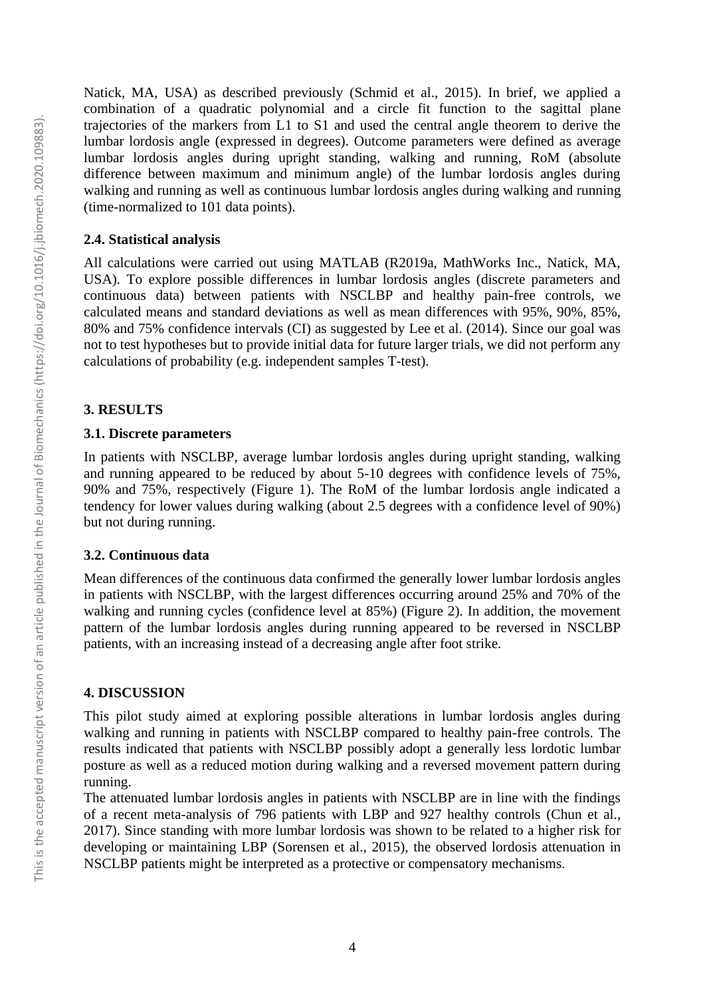Natick, MA, USA) as described previously [\(Schmid et al., 2015\)](#page-7-8). In brief, we applied a combination of a quadratic polynomial and a circle fit function to the sagittal plane trajectories of the markers from L1 to S1 and used the central angle theorem to derive the lumbar lordosis angle (expressed in degrees). Outcome parameters were defined as average lumbar lordosis angles during upright standing, walking and running, RoM (absolute difference between maximum and minimum angle) of the lumbar lordosis angles during walking and running as well as continuous lumbar lordosis angles during walking and running (time-normalized to 101 data points).

#### **2.4. Statistical analysis**

All calculations were carried out using MATLAB (R2019a, MathWorks Inc., Natick, MA, USA). To explore possible differences in lumbar lordosis angles (discrete parameters and continuous data) between patients with NSCLBP and healthy pain-free controls, we calculated means and standard deviations as well as mean differences with 95%, 90%, 85%, 80% and 75% confidence intervals (CI) as suggested by [Lee et al. \(2014\).](#page-6-17) Since our goal was not to test hypotheses but to provide initial data for future larger trials, we did not perform any calculations of probability (e.g. independent samples T-test).

# **3. RESULTS**

# **3.1. Discrete parameters**

In patients with NSCLBP, average lumbar lordosis angles during upright standing, walking and running appeared to be reduced by about 5-10 degrees with confidence levels of 75%, 90% and 75%, respectively (Figure 1). The RoM of the lumbar lordosis angle indicated a tendency for lower values during walking (about 2.5 degrees with a confidence level of 90%) but not during running.

#### **3.2. Continuous data**

Mean differences of the continuous data confirmed the generally lower lumbar lordosis angles in patients with NSCLBP, with the largest differences occurring around 25% and 70% of the walking and running cycles (confidence level at 85%) (Figure 2). In addition, the movement pattern of the lumbar lordosis angles during running appeared to be reversed in NSCLBP patients, with an increasing instead of a decreasing angle after foot strike.

# **4. DISCUSSION**

This pilot study aimed at exploring possible alterations in lumbar lordosis angles during walking and running in patients with NSCLBP compared to healthy pain-free controls. The results indicated that patients with NSCLBP possibly adopt a generally less lordotic lumbar posture as well as a reduced motion during walking and a reversed movement pattern during running.

The attenuated lumbar lordosis angles in patients with NSCLBP are in line with the findings of a recent meta-analysis of 796 patients with LBP and 927 healthy controls [\(Chun et al.,](#page-6-18)  [2017\)](#page-6-18). Since standing with more lumbar lordosis was shown to be related to a higher risk for developing or maintaining LBP [\(Sorensen et al., 2015\)](#page-7-9), the observed lordosis attenuation in NSCLBP patients might be interpreted as a protective or compensatory mechanisms.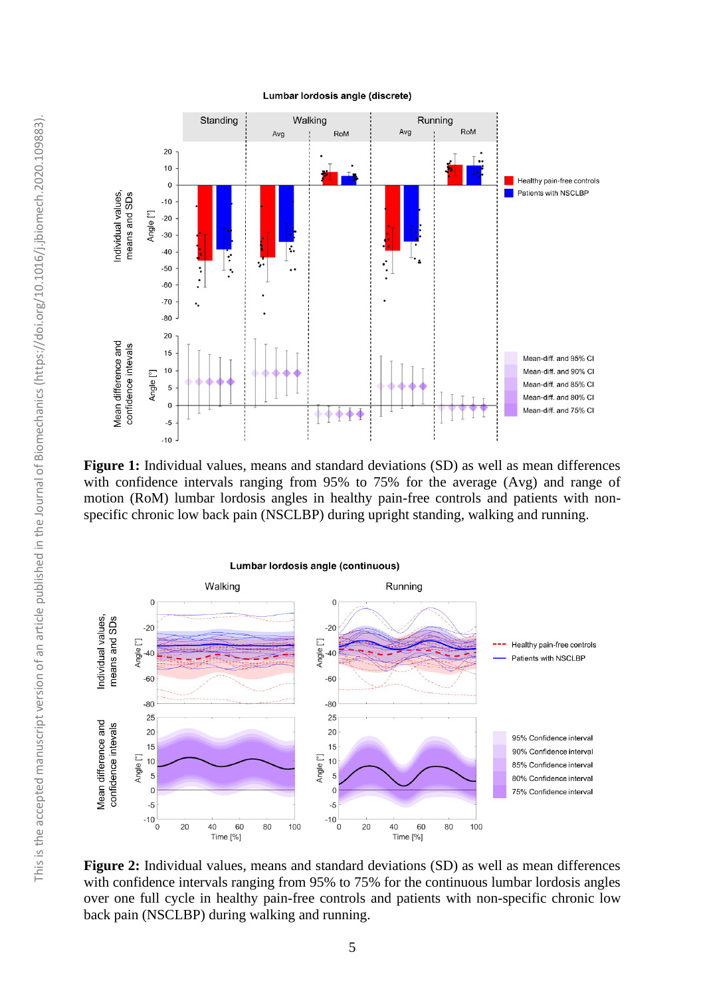

Figure 1: Individual values, means and standard deviations (SD) as well as mean differences with confidence intervals ranging from 95% to 75% for the average (Avg) and range of motion (RoM) lumbar lordosis angles in healthy pain-free controls and patients with nonspecific chronic low back pain (NSCLBP) during upright standing, walking and running.



**Figure 2:** Individual values, means and standard deviations (SD) as well as mean differences with confidence intervals ranging from 95% to 75% for the continuous lumbar lordosis angles over one full cycle in healthy pain-free controls and patients with non-specific chronic low back pain (NSCLBP) during walking and running.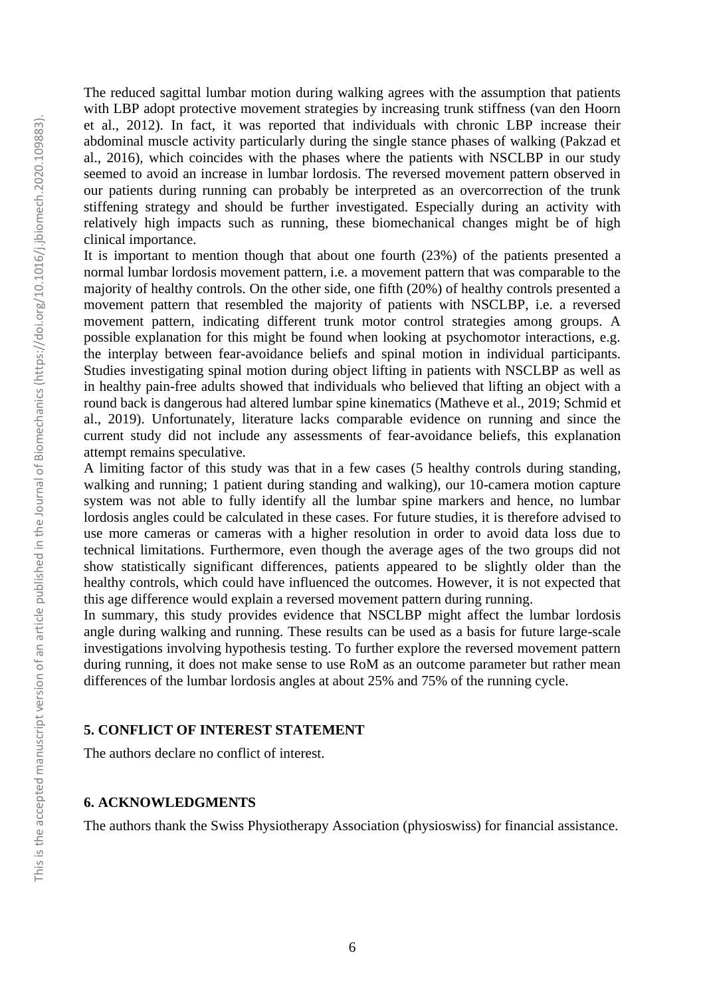The reduced sagittal lumbar motion during walking agrees with the assumption that patients with LBP adopt protective movement strategies by increasing trunk stiffness [\(van den Hoorn](#page-7-4)  [et al., 2012\)](#page-7-4). In fact, it was reported that individuals with chronic LBP increase their abdominal muscle activity particularly during the single stance phases of walking [\(Pakzad et](#page-7-10)  [al., 2016\)](#page-7-10), which coincides with the phases where the patients with NSCLBP in our study seemed to avoid an increase in lumbar lordosis. The reversed movement pattern observed in our patients during running can probably be interpreted as an overcorrection of the trunk stiffening strategy and should be further investigated. Especially during an activity with relatively high impacts such as running, these biomechanical changes might be of high clinical importance.

It is important to mention though that about one fourth (23%) of the patients presented a normal lumbar lordosis movement pattern, i.e. a movement pattern that was comparable to the majority of healthy controls. On the other side, one fifth (20%) of healthy controls presented a movement pattern that resembled the majority of patients with NSCLBP, i.e. a reversed movement pattern, indicating different trunk motor control strategies among groups. A possible explanation for this might be found when looking at psychomotor interactions, e.g. the interplay between fear-avoidance beliefs and spinal motion in individual participants. Studies investigating spinal motion during object lifting in patients with NSCLBP as well as in healthy pain-free adults showed that individuals who believed that lifting an object with a round back is dangerous had altered lumbar spine kinematics [\(Matheve et al., 2019;](#page-7-11) [Schmid et](#page-7-12)  [al., 2019\)](#page-7-12). Unfortunately, literature lacks comparable evidence on running and since the current study did not include any assessments of fear-avoidance beliefs, this explanation attempt remains speculative.

A limiting factor of this study was that in a few cases (5 healthy controls during standing, walking and running; 1 patient during standing and walking), our 10-camera motion capture system was not able to fully identify all the lumbar spine markers and hence, no lumbar lordosis angles could be calculated in these cases. For future studies, it is therefore advised to use more cameras or cameras with a higher resolution in order to avoid data loss due to technical limitations. Furthermore, even though the average ages of the two groups did not show statistically significant differences, patients appeared to be slightly older than the healthy controls, which could have influenced the outcomes. However, it is not expected that this age difference would explain a reversed movement pattern during running.

In summary, this study provides evidence that NSCLBP might affect the lumbar lordosis angle during walking and running. These results can be used as a basis for future large-scale investigations involving hypothesis testing. To further explore the reversed movement pattern during running, it does not make sense to use RoM as an outcome parameter but rather mean differences of the lumbar lordosis angles at about 25% and 75% of the running cycle.

### **5. CONFLICT OF INTEREST STATEMENT**

The authors declare no conflict of interest.

# **6. ACKNOWLEDGMENTS**

The authors thank the Swiss Physiotherapy Association (physioswiss) for financial assistance.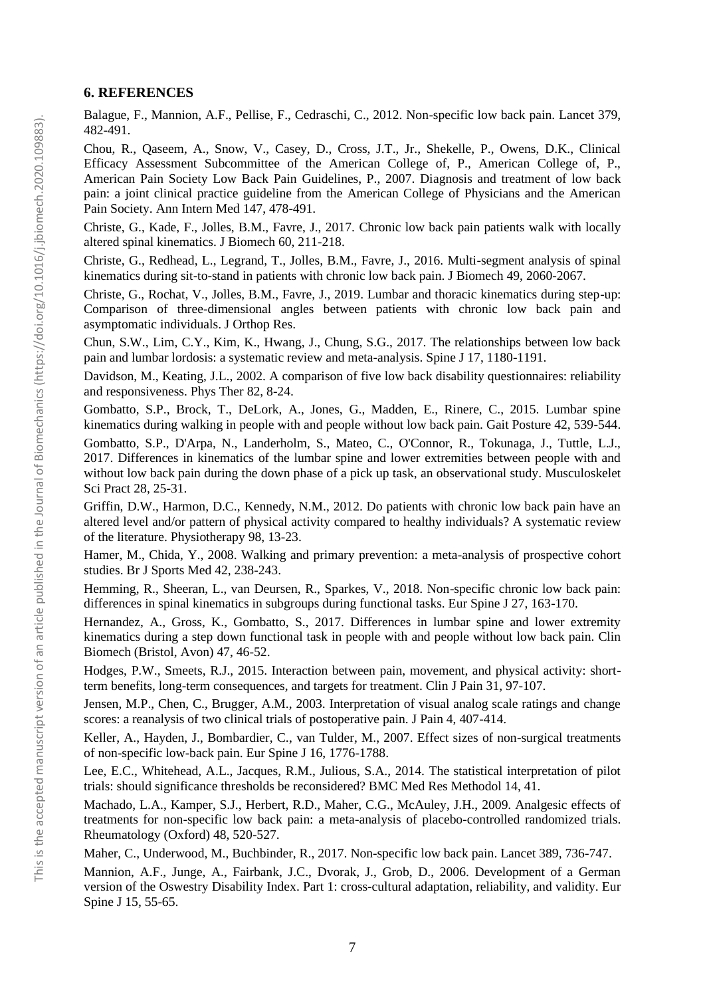# **6. REFERENCES**

<span id="page-6-0"></span>Balague, F., Mannion, A.F., Pellise, F., Cedraschi, C., 2012. Non-specific low back pain. Lancet 379, 482-491.

<span id="page-6-3"></span>Chou, R., Qaseem, A., Snow, V., Casey, D., Cross, J.T., Jr., Shekelle, P., Owens, D.K., Clinical Efficacy Assessment Subcommittee of the American College of, P., American College of, P., American Pain Society Low Back Pain Guidelines, P., 2007. Diagnosis and treatment of low back pain: a joint clinical practice guideline from the American College of Physicians and the American Pain Society. Ann Intern Med 147, 478-491.

<span id="page-6-6"></span>Christe, G., Kade, F., Jolles, B.M., Favre, J., 2017. Chronic low back pain patients walk with locally altered spinal kinematics. J Biomech 60, 211-218.

<span id="page-6-7"></span>Christe, G., Redhead, L., Legrand, T., Jolles, B.M., Favre, J., 2016. Multi-segment analysis of spinal kinematics during sit-to-stand in patients with chronic low back pain. J Biomech 49, 2060-2067.

<span id="page-6-8"></span>Christe, G., Rochat, V., Jolles, B.M., Favre, J., 2019. Lumbar and thoracic kinematics during step-up: Comparison of three-dimensional angles between patients with chronic low back pain and asymptomatic individuals. J Orthop Res.

<span id="page-6-18"></span>Chun, S.W., Lim, C.Y., Kim, K., Hwang, J., Chung, S.G., 2017. The relationships between low back pain and lumbar lordosis: a systematic review and meta-analysis. Spine J 17, 1180-1191.

Davidson, M., Keating, J.L., 2002. A comparison of five low back disability questionnaires: reliability and responsiveness. Phys Ther 82, 8-24.

<span id="page-6-9"></span>Gombatto, S.P., Brock, T., DeLork, A., Jones, G., Madden, E., Rinere, C., 2015. Lumbar spine kinematics during walking in people with and people without low back pain. Gait Posture 42, 539-544.

<span id="page-6-10"></span>Gombatto, S.P., D'Arpa, N., Landerholm, S., Mateo, C., O'Connor, R., Tokunaga, J., Tuttle, L.J., 2017. Differences in kinematics of the lumbar spine and lower extremities between people with and without low back pain during the down phase of a pick up task, an observational study. Musculoskelet Sci Pract 28, 25-31.

<span id="page-6-14"></span>Griffin, D.W., Harmon, D.C., Kennedy, N.M., 2012. Do patients with chronic low back pain have an altered level and/or pattern of physical activity compared to healthy individuals? A systematic review of the literature. Physiotherapy 98, 13-23.

<span id="page-6-13"></span>Hamer, M., Chida, Y., 2008. Walking and primary prevention: a meta-analysis of prospective cohort studies. Br J Sports Med 42, 238-243.

<span id="page-6-11"></span>Hemming, R., Sheeran, L., van Deursen, R., Sparkes, V., 2018. Non-specific chronic low back pain: differences in spinal kinematics in subgroups during functional tasks. Eur Spine J 27, 163-170.

<span id="page-6-12"></span>Hernandez, A., Gross, K., Gombatto, S., 2017. Differences in lumbar spine and lower extremity kinematics during a step down functional task in people with and people without low back pain. Clin Biomech (Bristol, Avon) 47, 46-52.

<span id="page-6-5"></span>Hodges, P.W., Smeets, R.J., 2015. Interaction between pain, movement, and physical activity: shortterm benefits, long-term consequences, and targets for treatment. Clin J Pain 31, 97-107.

<span id="page-6-15"></span>Jensen, M.P., Chen, C., Brugger, A.M., 2003. Interpretation of visual analog scale ratings and change scores: a reanalysis of two clinical trials of postoperative pain. J Pain 4, 407-414.

<span id="page-6-4"></span>Keller, A., Hayden, J., Bombardier, C., van Tulder, M., 2007. Effect sizes of non-surgical treatments of non-specific low-back pain. Eur Spine J 16, 1776-1788.

<span id="page-6-17"></span>Lee, E.C., Whitehead, A.L., Jacques, R.M., Julious, S.A., 2014. The statistical interpretation of pilot trials: should significance thresholds be reconsidered? BMC Med Res Methodol 14, 41.

<span id="page-6-1"></span>Machado, L.A., Kamper, S.J., Herbert, R.D., Maher, C.G., McAuley, J.H., 2009. Analgesic effects of treatments for non-specific low back pain: a meta-analysis of placebo-controlled randomized trials. Rheumatology (Oxford) 48, 520-527.

<span id="page-6-2"></span>Maher, C., Underwood, M., Buchbinder, R., 2017. Non-specific low back pain. Lancet 389, 736-747.

<span id="page-6-16"></span>Mannion, A.F., Junge, A., Fairbank, J.C., Dvorak, J., Grob, D., 2006. Development of a German version of the Oswestry Disability Index. Part 1: cross-cultural adaptation, reliability, and validity. Eur Spine J 15, 55-65.